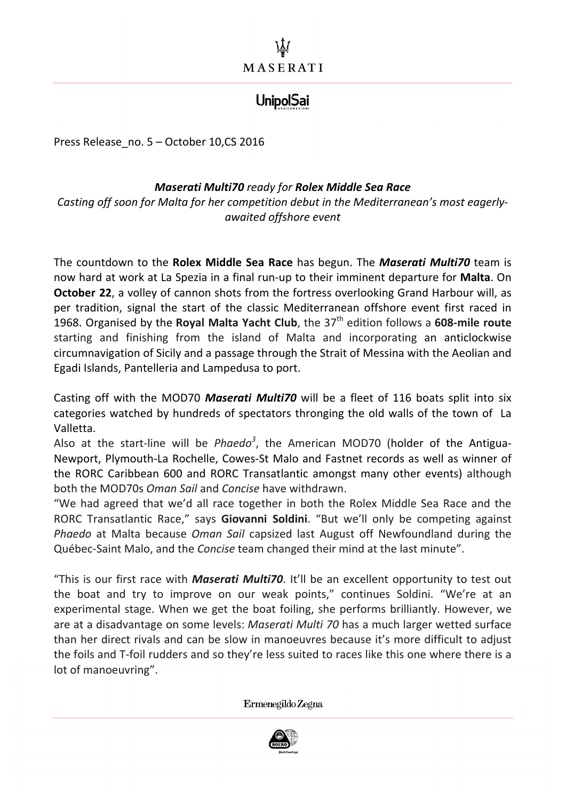## **UnipolSai**

Press Release no. 5 - October 10,CS 2016

## *Maserati Multi70 ready for Rolex Middle Sea Race*

Casting off soon for Malta for her competition debut in the Mediterranean's most eagerly*awaited offshore event* 

The countdown to the **Rolex Middle Sea Race** has begun. The **Maserati Multi70** team is now hard at work at La Spezia in a final run-up to their imminent departure for **Malta**. On **October 22**, a volley of cannon shots from the fortress overlooking Grand Harbour will, as per tradition, signal the start of the classic Mediterranean offshore event first raced in 1968. Organised by the **Royal Malta Yacht Club**, the 37<sup>th</sup> edition follows a 608-mile route starting and finishing from the island of Malta and incorporating an anticlockwise circumnavigation of Sicily and a passage through the Strait of Messina with the Aeolian and Egadi Islands, Pantelleria and Lampedusa to port.

Casting off with the MOD70 *Maserati Multi70* will be a fleet of 116 boats split into six categories watched by hundreds of spectators thronging the old walls of the town of La Valletta.

Also at the start-line will be *Phaedo*<sup>3</sup>, the American MOD70 (holder of the Antigua-Newport, Plymouth-La Rochelle, Cowes-St Malo and Fastnet records as well as winner of the RORC Caribbean 600 and RORC Transatlantic amongst many other events) although both the MOD70s *Oman Sail* and *Concise* have withdrawn.

"We had agreed that we'd all race together in both the Rolex Middle Sea Race and the RORC Transatlantic Race," says **Giovanni Soldini**. "But we'll only be competing against *Phaedo* at Malta because *Oman Sail* capsized last August off Newfoundland during the Québec-Saint Malo, and the *Concise* team changed their mind at the last minute".

"This is our first race with **Maserati Multi70**. It'll be an excellent opportunity to test out the boat and try to improve on our weak points," continues Soldini. "We're at an experimental stage. When we get the boat foiling, she performs brilliantly. However, we are at a disadvantage on some levels: *Maserati Multi 70* has a much larger wetted surface than her direct rivals and can be slow in manoeuvres because it's more difficult to adjust the foils and T-foil rudders and so they're less suited to races like this one where there is a lot of manoeuvring".

Ermenegildo Zegna